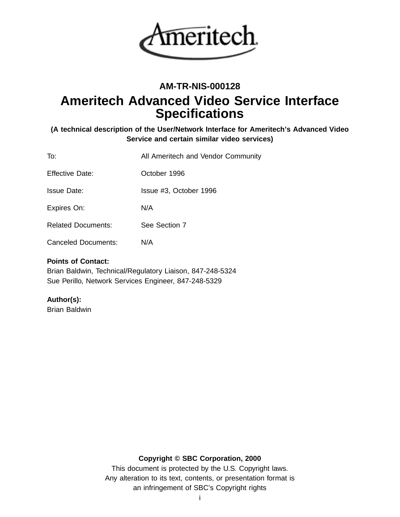

# **AM-TR-NIS-000128**

# **Ameritech Advanced Video Service Interface Specifications**

# **(A technical description of the User/Network Interface for Ameritech's Advanced Video Service and certain similar video services)**

| To:                        | All Ameritech and Vendor Community |
|----------------------------|------------------------------------|
| <b>Effective Date:</b>     | October 1996                       |
| <b>Issue Date:</b>         | Issue #3, October 1996             |
| Expires On:                | N/A                                |
| <b>Related Documents:</b>  | See Section 7                      |
| <b>Canceled Documents:</b> | N/A                                |

# **Points of Contact:**

Brian Baldwin, Technical/Regulatory Liaison, 847-248-5324 Sue Perillo, Network Services Engineer, 847-248-5329

# **Author(s):**

Brian Baldwin

# **Copyright © SBC Corporation, 2000**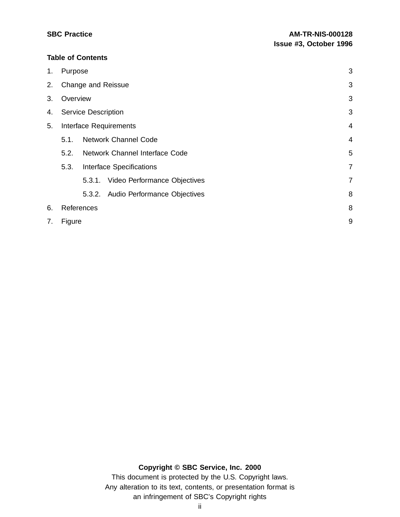# **Table of Contents**

| 1. | Purpose                    |                                        | 3              |
|----|----------------------------|----------------------------------------|----------------|
| 2. |                            | <b>Change and Reissue</b>              | 3              |
| 3. | Overview                   |                                        | 3              |
| 4. | <b>Service Description</b> |                                        | 3              |
| 5. |                            | Interface Requirements                 | 4              |
|    | 5.1.                       | <b>Network Channel Code</b>            | 4              |
|    | 5.2.                       | Network Channel Interface Code         | 5              |
|    | 5.3.                       | <b>Interface Specifications</b>        | $\overline{7}$ |
|    |                            | Video Performance Objectives<br>5.3.1. | $\overline{7}$ |
|    |                            | 5.3.2. Audio Performance Objectives    | 8              |
| 6. |                            | References                             | 8              |
| 7. | Figure                     |                                        | 9              |

# **Copyright © SBC Service, Inc. 2000**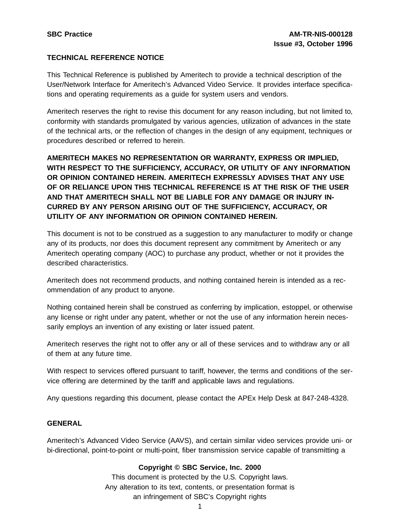# **TECHNICAL REFERENCE NOTICE**

This Technical Reference is published by Ameritech to provide a technical description of the User/Network Interface for Ameritech's Advanced Video Service. It provides interface specifications and operating requirements as a guide for system users and vendors.

Ameritech reserves the right to revise this document for any reason including, but not limited to, conformity with standards promulgated by various agencies, utilization of advances in the state of the technical arts, or the reflection of changes in the design of any equipment, techniques or procedures described or referred to herein.

**AMERITECH MAKES NO REPRESENTATION OR WARRANTY, EXPRESS OR IMPLIED, WITH RESPECT TO THE SUFFICIENCY, ACCURACY, OR UTILITY OF ANY INFORMATION OR OPINION CONTAINED HEREIN. AMERITECH EXPRESSLY ADVISES THAT ANY USE OF OR RELIANCE UPON THIS TECHNICAL REFERENCE IS AT THE RISK OF THE USER AND THAT AMERITECH SHALL NOT BE LIABLE FOR ANY DAMAGE OR INJURY IN-CURRED BY ANY PERSON ARISING OUT OF THE SUFFICIENCY, ACCURACY, OR UTILITY OF ANY INFORMATION OR OPINION CONTAINED HEREIN.**

This document is not to be construed as a suggestion to any manufacturer to modify or change any of its products, nor does this document represent any commitment by Ameritech or any Ameritech operating company (AOC) to purchase any product, whether or not it provides the described characteristics.

Ameritech does not recommend products, and nothing contained herein is intended as a recommendation of any product to anyone.

Nothing contained herein shall be construed as conferring by implication, estoppel, or otherwise any license or right under any patent, whether or not the use of any information herein necessarily employs an invention of any existing or later issued patent.

Ameritech reserves the right not to offer any or all of these services and to withdraw any or all of them at any future time.

With respect to services offered pursuant to tariff, however, the terms and conditions of the service offering are determined by the tariff and applicable laws and regulations.

Any questions regarding this document, please contact the APEx Help Desk at 847-248-4328.

#### **GENERAL**

Ameritech's Advanced Video Service (AAVS), and certain similar video services provide uni- or bi-directional, point-to-point or multi-point, fiber transmission service capable of transmitting a

### **Copyright © SBC Service, Inc. 2000**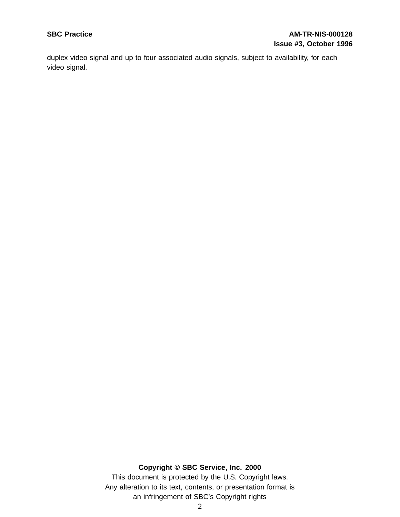# **SBC Practice AM-TR-NIS-000128 Issue #3, October 1996**

duplex video signal and up to four associated audio signals, subject to availability, for each video signal.

# **Copyright © SBC Service, Inc. 2000**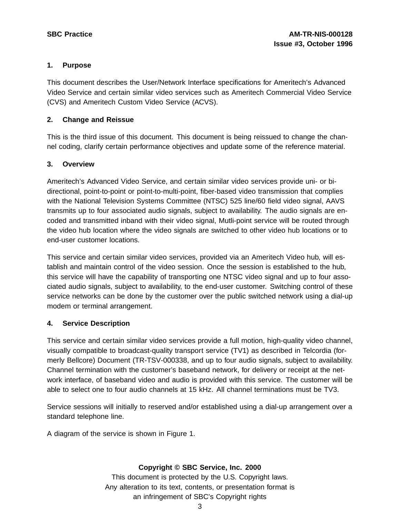# **1. Purpose**

This document describes the User/Network Interface specifications for Ameritech's Advanced Video Service and certain similar video services such as Ameritech Commercial Video Service (CVS) and Ameritech Custom Video Service (ACVS).

# **2. Change and Reissue**

This is the third issue of this document. This document is being reissued to change the channel coding, clarify certain performance objectives and update some of the reference material.

# **3. Overview**

Ameritech's Advanced Video Service, and certain similar video services provide uni- or bidirectional, point-to-point or point-to-multi-point, fiber-based video transmission that complies with the National Television Systems Committee (NTSC) 525 line/60 field video signal, AAVS transmits up to four associated audio signals, subject to availability. The audio signals are encoded and transmitted inband with their video signal, Mutli-point service will be routed through the video hub location where the video signals are switched to other video hub locations or to end-user customer locations.

This service and certain similar video services, provided via an Ameritech Video hub, will establish and maintain control of the video session. Once the session is established to the hub, this service will have the capability of transporting one NTSC video signal and up to four associated audio signals, subject to availability, to the end-user customer. Switching control of these service networks can be done by the customer over the public switched network using a dial-up modem or terminal arrangement.

# **4. Service Description**

This service and certain similar video services provide a full motion, high-quality video channel, visually compatible to broadcast-quality transport service (TV1) as described in Telcordia (formerly Bellcore) Document (TR-TSV-000338, and up to four audio signals, subject to availability. Channel termination with the customer's baseband network, for delivery or receipt at the network interface, of baseband video and audio is provided with this service. The customer will be able to select one to four audio channels at 15 kHz. All channel terminations must be TV3.

Service sessions will initially to reserved and/or established using a dial-up arrangement over a standard telephone line.

A diagram of the service is shown in Figure 1.

# **Copyright © SBC Service, Inc. 2000**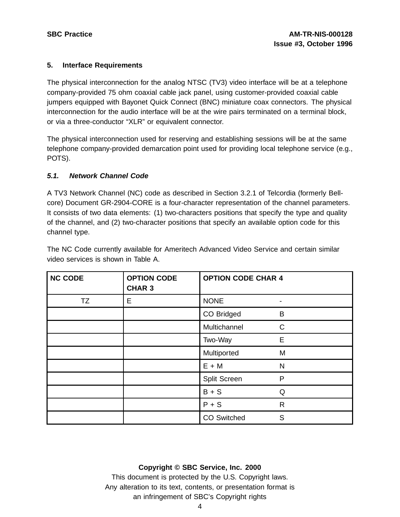### **5. Interface Requirements**

The physical interconnection for the analog NTSC (TV3) video interface will be at a telephone company-provided 75 ohm coaxial cable jack panel, using customer-provided coaxial cable jumpers equipped with Bayonet Quick Connect (BNC) miniature coax connectors. The physical interconnection for the audio interface will be at the wire pairs terminated on a terminal block, or via a three-conductor "XLR" or equivalent connector.

The physical interconnection used for reserving and establishing sessions will be at the same telephone company-provided demarcation point used for providing local telephone service (e.g., POTS).

### **5.1. Network Channel Code**

A TV3 Network Channel (NC) code as described in Section 3.2.1 of Telcordia (formerly Bellcore) Document GR-2904-CORE is a four-character representation of the channel parameters. It consists of two data elements: (1) two-characters positions that specify the type and quality of the channel, and (2) two-character positions that specify an available option code for this channel type.

| video services is shown in Table A. |                                     |                           |              |  |  |
|-------------------------------------|-------------------------------------|---------------------------|--------------|--|--|
| <b>NC CODE</b>                      | <b>OPTION CODE</b><br><b>CHAR 3</b> | <b>OPTION CODE CHAR 4</b> |              |  |  |
| TZ                                  | Е                                   | <b>NONE</b>               |              |  |  |
|                                     |                                     | CO Bridged                | B            |  |  |
|                                     |                                     | Multichannel              | $\mathsf{C}$ |  |  |
|                                     |                                     | Two-Way                   | E            |  |  |
|                                     |                                     | Multiported               | M            |  |  |
|                                     |                                     | $E + M$                   | N            |  |  |
|                                     |                                     | Split Screen              | P            |  |  |
|                                     |                                     | $B + S$                   | Q            |  |  |
|                                     |                                     | $P + S$                   | R            |  |  |

The NC Code currently available for Ameritech Advanced Video Service and certain similar video services is shown in Table A.

### **Copyright © SBC Service, Inc. 2000**

CO Switched S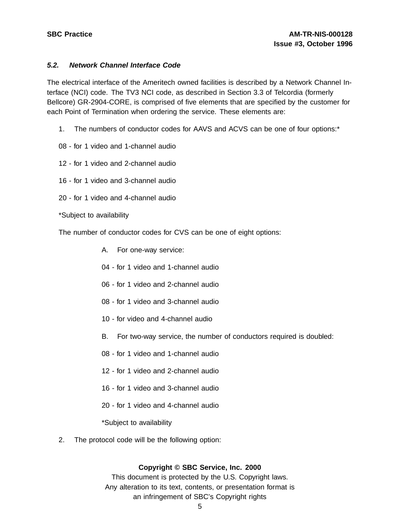### **5.2. Network Channel Interface Code**

The electrical interface of the Ameritech owned facilities is described by a Network Channel Interface (NCI) code. The TV3 NCI code, as described in Section 3.3 of Telcordia (formerly Bellcore) GR-2904-CORE, is comprised of five elements that are specified by the customer for each Point of Termination when ordering the service. These elements are:

- 1. The numbers of conductor codes for AAVS and ACVS can be one of four options:\*
- 08 for 1 video and 1-channel audio
- 12 for 1 video and 2-channel audio
- 16 for 1 video and 3-channel audio
- 20 for 1 video and 4-channel audio
- \*Subject to availability

The number of conductor codes for CVS can be one of eight options:

- A. For one-way service:
- 04 for 1 video and 1-channel audio
- 06 for 1 video and 2-channel audio
- 08 for 1 video and 3-channel audio
- 10 for video and 4-channel audio
- B. For two-way service, the number of conductors required is doubled:
- 08 for 1 video and 1-channel audio
- 12 for 1 video and 2-channel audio
- 16 for 1 video and 3-channel audio
- 20 for 1 video and 4-channel audio

\*Subject to availability

2. The protocol code will be the following option:

#### **Copyright © SBC Service, Inc. 2000**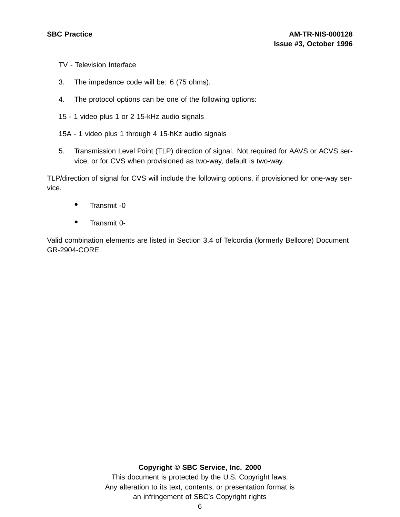- TV Television Interface
- 3. The impedance code will be: 6 (75 ohms).
- 4. The protocol options can be one of the following options:
- 15 1 video plus 1 or 2 15-kHz audio signals
- 15A 1 video plus 1 through 4 15-hKz audio signals
- 5. Transmission Level Point (TLP) direction of signal. Not required for AAVS or ACVS service, or for CVS when provisioned as two-way, default is two-way.

TLP/direction of signal for CVS will include the following options, if provisioned for one-way service.

- Transmit -0
- Transmit 0-

Valid combination elements are listed in Section 3.4 of Telcordia (formerly Bellcore) Document GR-2904-CORE.

#### **Copyright © SBC Service, Inc. 2000**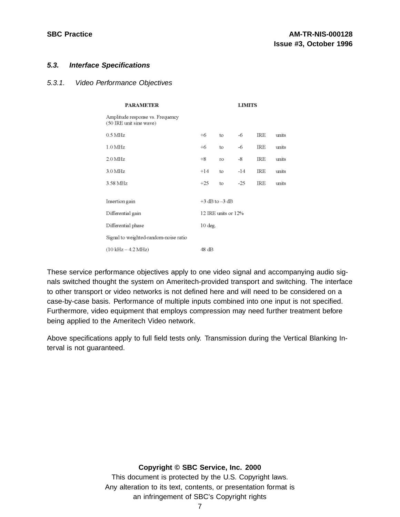#### **5.3. Interface Specifications**

#### 5.3.1. Video Performance Objectives

| PARAMETER                                                   | <b>LIMITS</b>       |                |       |     |       |
|-------------------------------------------------------------|---------------------|----------------|-------|-----|-------|
| Amplitude response vs. Frequency<br>(50 IRE unit sine wave) |                     |                |       |     |       |
| $0.5$ MHz                                                   | $+6$                | to             | -6    | IRE | units |
| $1.0\,\mathrm{MHz}$                                         | +6                  | to             | -6    | IRE | units |
| $2.0\,\mathrm{MHz}$                                         | $+8$                | <b>TO</b>      | -8    | IRE | units |
| $3.0\,\mathrm{MHz}$                                         | $+14$               | to             | $-14$ | IRE | units |
| 3.58 MHz                                                    | $+25$               | to             | $-25$ | IRE | units |
|                                                             |                     |                |       |     |       |
| Insertion gain                                              |                     | +3 dB to -3 dB |       |     |       |
| Differential gain                                           | 12 IRE units or 12% |                |       |     |       |
| Differential phase                                          | 10 deg.             |                |       |     |       |
| Signal to weighted-random-noise ratio                       |                     |                |       |     |       |
| $(10 \text{ kHz} - 4.2 \text{ MHz})$                        | 48 dB               |                |       |     |       |

These service performance objectives apply to one video signal and accompanying audio signals switched thought the system on Ameritech-provided transport and switching. The interface to other transport or video networks is not defined here and will need to be considered on a case-by-case basis. Performance of multiple inputs combined into one input is not specified. Furthermore, video equipment that employs compression may need further treatment before being applied to the Ameritech Video network.

Above specifications apply to full field tests only. Transmission during the Vertical Blanking Interval is not guaranteed.

#### **Copyright © SBC Service, Inc. 2000**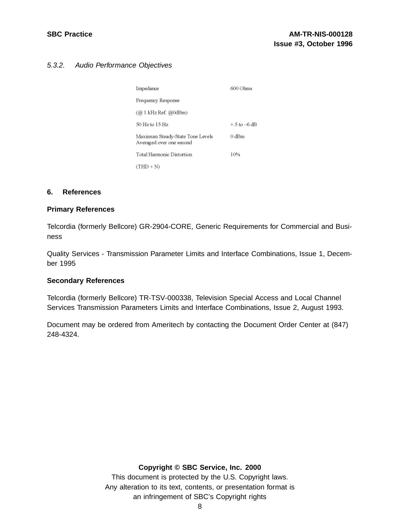# 5.3.2. Audio Performance Objectives

| Impedance                                                    | 600 Ohms        |
|--------------------------------------------------------------|-----------------|
| Frequency Response                                           |                 |
| (@ 1 kHz Ref. @0dBm)                                         |                 |
| 50 Hz to 15 Hz                                               | $+5$ to $-6$ dB |
| Maximum Steady-State Tone Levels<br>Averaged over one second | 0 dBm           |
| Total Harmonic Distortion                                    | 10%             |
| $(THD + N)$                                                  |                 |

#### **6. References**

#### **Primary References**

Telcordia (formerly Bellcore) GR-2904-CORE, Generic Requirements for Commercial and Business

Quality Services - Transmission Parameter Limits and Interface Combinations, Issue 1, December 1995

#### **Secondary References**

Telcordia (formerly Bellcore) TR-TSV-000338, Television Special Access and Local Channel Services Transmission Parameters Limits and Interface Combinations, Issue 2, August 1993.

Document may be ordered from Ameritech by contacting the Document Order Center at (847) 248-4324.

### **Copyright © SBC Service, Inc. 2000**